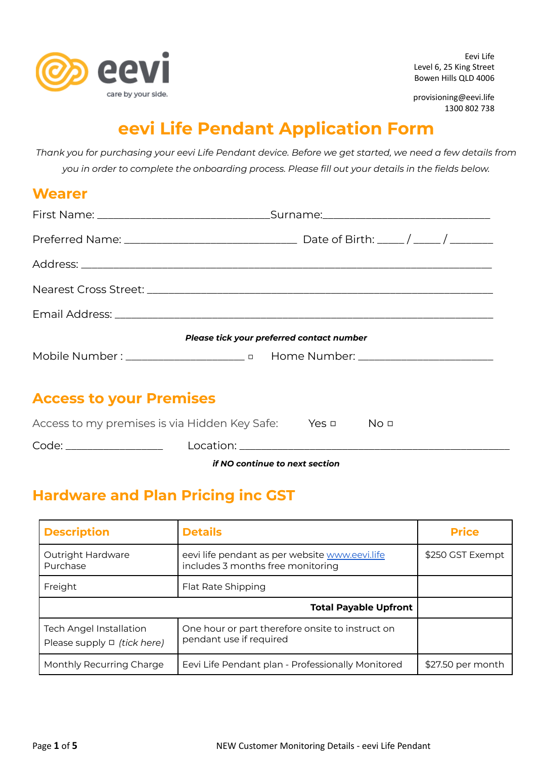

Eevi Life Level 6, 25 King Street Bowen Hills QLD 4006

provisioning@eevi.life 1300 802 738

## **eevi Life Pendant Application Form**

Thank you for purchasing your eevi Life Pendant device. Before we get started, we need a few details from *you in order to complete the onboarding process. Please fill out your details in the fields below.*

### **Wearer**

|                                | Please tick your preferred contact number |  |
|--------------------------------|-------------------------------------------|--|
|                                |                                           |  |
| <b>Access to your Premises</b> |                                           |  |

| if NO continue to next section                |           |       |      |
|-----------------------------------------------|-----------|-------|------|
| Code:                                         | Location: |       |      |
| Access to my premises is via Hidden Key Safe: |           | Yes □ | No o |

# **Hardware and Plan Pricing inc GST**

| <b>Description</b>                                                 | <b>Details</b>                                                                      | <b>Price</b>      |
|--------------------------------------------------------------------|-------------------------------------------------------------------------------------|-------------------|
| Outright Hardware<br>Purchase                                      | eevi life pendant as per website www.eevi.life<br>includes 3 months free monitoring | \$250 GST Exempt  |
| Freight                                                            | Flat Rate Shipping                                                                  |                   |
| <b>Total Payable Upfront</b>                                       |                                                                                     |                   |
| <b>Tech Angel Installation</b><br>Please supply $\Box$ (tick here) | One hour or part therefore onsite to instruct on<br>pendant use if required         |                   |
| Monthly Recurring Charge                                           | Eevi Life Pendant plan - Professionally Monitored                                   | \$27.50 per month |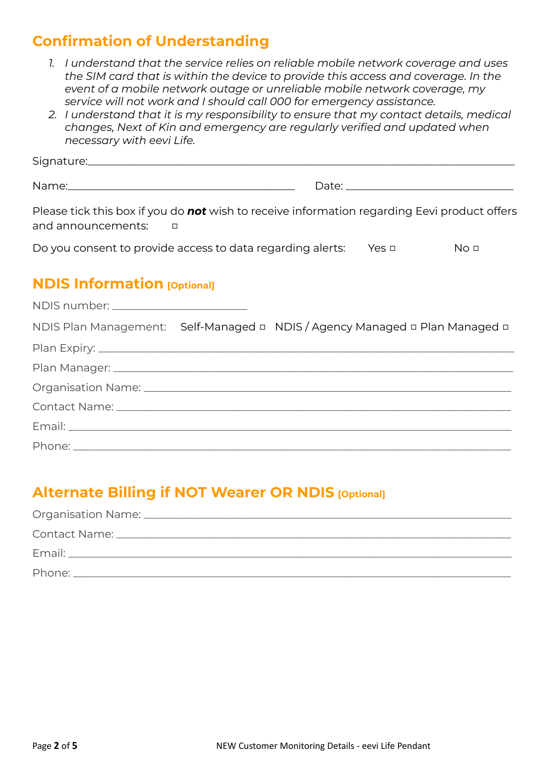### **Confirmation of Understanding**

- *1. I understand that the service relies on reliable mobile network coverage and uses the SIM card that is within the device to provide this access and coverage. In the event of a mobile network outage or unreliable mobile network coverage, my service will not work and I should call 000 for emergency assistance.*
- *2. I understand that it is my responsibility to ensure that my contact details, medical changes, Next of Kin and emergency are regularly verified and updated when necessary with eevi Life.*

Signature:

Name: where the contract of the contract of the contract of the contract of the contract of the contract of the contract of the contract of the contract of the contract of the contract of the contract of the contract of th

Please tick this box if you do *not* wish to receive information regarding Eevi product offers and announcements: □

| Do you consent to provide access to data regarding alerts: | Yes □ | No <u>p</u> |
|------------------------------------------------------------|-------|-------------|
|                                                            |       |             |

#### **NDIS Information [Optional]**

| NDIS number: _________________________ |                                                                             |
|----------------------------------------|-----------------------------------------------------------------------------|
|                                        | NDIS Plan Management: Self-Managed □ NDIS / Agency Managed □ Plan Managed □ |
|                                        |                                                                             |
|                                        |                                                                             |
|                                        |                                                                             |
|                                        |                                                                             |
|                                        |                                                                             |
|                                        |                                                                             |

### **Alternate Billing if NOT Wearer OR NDIS [Optional]**

| Phone: |
|--------|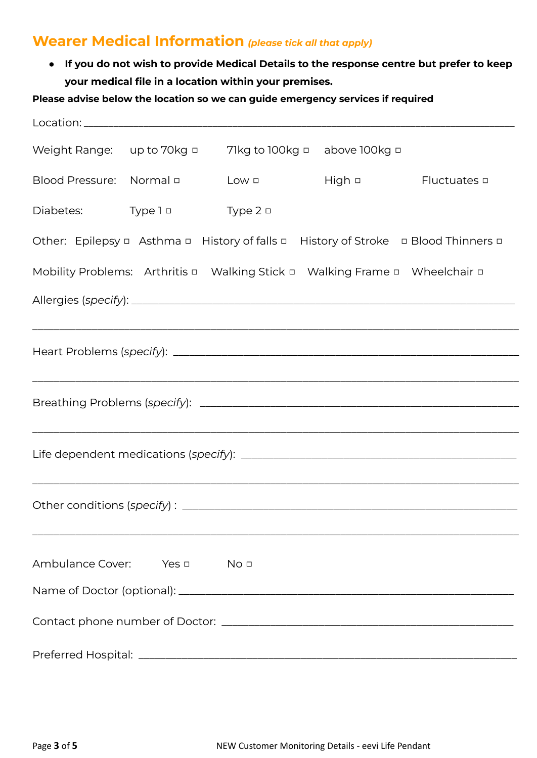#### **Wearer Medical Information** *(please tick all that apply)*

**● If you do not wish to provide Medical Details to the response centre but prefer to keep your medical file in a location within your premises.**

#### **Please advise below the location so we can guide emergency services if required**

| Weight Range: up to 70kg $\Box$ |                                       | 71kg to 100kg $\Box$ above 100kg $\Box$                                                         |               |                                                                                                             |
|---------------------------------|---------------------------------------|-------------------------------------------------------------------------------------------------|---------------|-------------------------------------------------------------------------------------------------------------|
| Blood Pressure: Normal <b>D</b> |                                       | $Low \nightharpoonup$                                                                           | High <b>p</b> | Fluctuates □                                                                                                |
| Diabetes:                       | $Type 1 =$                            | Type $2 \Box$                                                                                   |               |                                                                                                             |
|                                 |                                       |                                                                                                 |               | Other: Epilepsy $\Box$ Asthma $\Box$ History of falls $\Box$ History of Stroke $\Box$ Blood Thinners $\Box$ |
|                                 |                                       | Mobility Problems: Arthritis $\Box$ Walking Stick $\Box$ Walking Frame $\Box$ Wheelchair $\Box$ |               |                                                                                                             |
|                                 |                                       |                                                                                                 |               |                                                                                                             |
|                                 |                                       |                                                                                                 |               |                                                                                                             |
|                                 |                                       |                                                                                                 |               |                                                                                                             |
|                                 |                                       |                                                                                                 |               |                                                                                                             |
|                                 |                                       |                                                                                                 |               |                                                                                                             |
|                                 |                                       |                                                                                                 |               |                                                                                                             |
|                                 |                                       |                                                                                                 |               |                                                                                                             |
|                                 |                                       |                                                                                                 |               |                                                                                                             |
|                                 |                                       |                                                                                                 |               |                                                                                                             |
|                                 | Ambulance Cover: Yes $\Box$ No $\Box$ |                                                                                                 |               |                                                                                                             |
|                                 |                                       |                                                                                                 |               |                                                                                                             |
|                                 |                                       |                                                                                                 |               |                                                                                                             |
|                                 |                                       |                                                                                                 |               |                                                                                                             |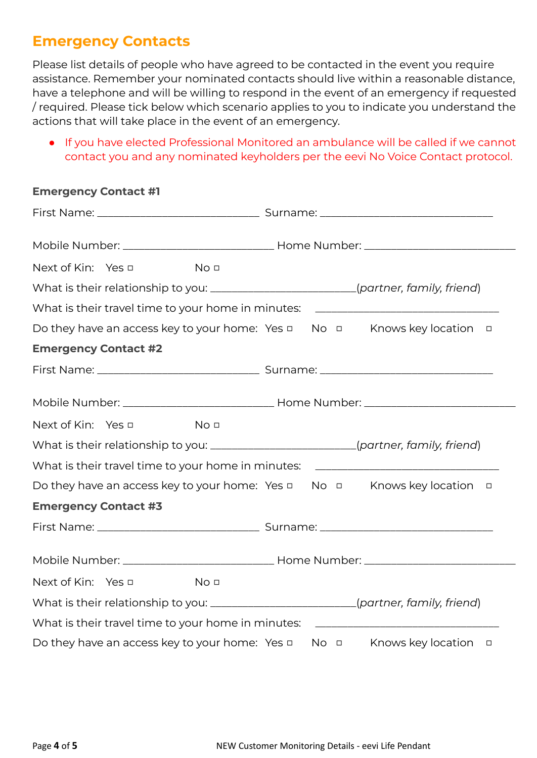#### **Emergency Contacts**

Please list details of people who have agreed to be contacted in the event you require assistance. Remember your nominated contacts should live within a reasonable distance, have a telephone and will be willing to respond in the event of an emergency if requested / required. Please tick below which scenario applies to you to indicate you understand the actions that will take place in the event of an emergency.

● If you have elected Professional Monitored an ambulance will be called if we cannot contact you and any nominated keyholders per the eevi No Voice Contact protocol.

#### **Emergency Contact #1**

| Next of Kin: Yes □<br>No <sub>1</sub>                                                |                                                                                         |
|--------------------------------------------------------------------------------------|-----------------------------------------------------------------------------------------|
| What is their relationship to you: ________________________(partner, family, friend) |                                                                                         |
|                                                                                      | What is their travel time to your home in minutes: _____________________________        |
| Do they have an access key to your home: Yes $\Box$ No $\Box$ Knows key location     | $\Box$                                                                                  |
| <b>Emergency Contact #2</b>                                                          |                                                                                         |
|                                                                                      |                                                                                         |
|                                                                                      |                                                                                         |
| Next of Kin: Yes □<br>No <sub>0</sub>                                                |                                                                                         |
| What is their relationship to you: _______________________(partner, family, friend)  |                                                                                         |
|                                                                                      | What is their travel time to your home in minutes: _____________________________        |
|                                                                                      | Do they have an access key to your home: Yes $\Box$ No $\Box$ Knows key location $\Box$ |
| <b>Emergency Contact #3</b>                                                          |                                                                                         |
|                                                                                      |                                                                                         |
|                                                                                      |                                                                                         |
| Next of Kin: Yes □<br><u>Nou</u>                                                     |                                                                                         |
| What is their relationship to you: _______________________(partner, family, friend)  |                                                                                         |
| What is their travel time to your home in minutes:                                   |                                                                                         |
| Do they have an access key to your home: Yes $\Box$                                  | No <b>D</b> Knows key location <b>D</b>                                                 |